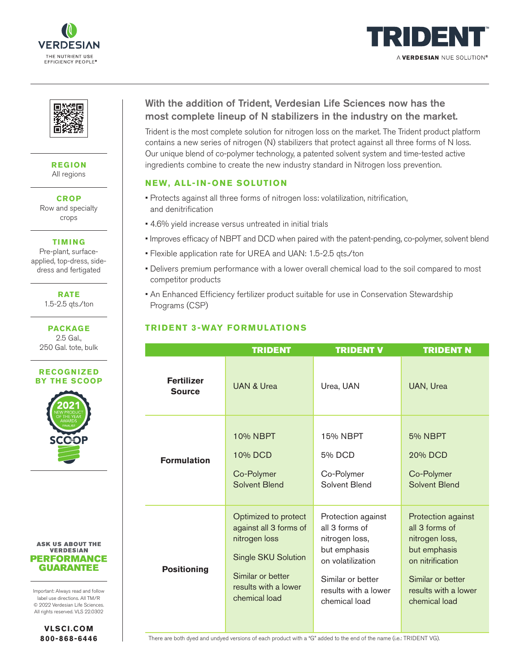





**REGION** All regions

**CROP** Row and specialty crops

**TIMING**

Pre-plant, surfaceapplied, top-dress, sidedress and fertigated

> **RATE** 1.5-2.5 qts./ton

**PACKAGE** 2.5 Gal., 250 Gal. tote, bulk



#### **ASK US ABOUT THE VERDESIAN PERFORMANCE GUARANTEE**

Important: Always read and follow label use directions. All TM/R © 2022 Verdesian Life Sciences. All rights reserved. VLS 22.0302

> **VLSCI.COM 800-868-6446**

# With the addition of Trident, Verdesian Life Sciences now has the most complete lineup of N stabilizers in the industry on the market.

Trident is the most complete solution for nitrogen loss on the market. The Trident product platform contains a new series of nitrogen (N) stabilizers that protect against all three forms of N loss. Our unique blend of co-polymer technology, a patented solvent system and time-tested active ingredients combine to create the new industry standard in Nitrogen loss prevention.

### **NEW, ALL-IN-ONE SOLUTION**

- Protects against all three forms of nitrogen loss: volatilization, nitrification, and denitrification
- 4.6% yield increase versus untreated in initial trials
- Improves efficacy of NBPT and DCD when paired with the patent-pending, co-polymer, solvent blend
- Flexible application rate for UREA and UAN: 1.5-2.5 qts./ton
- Delivers premium performance with a lower overall chemical load to the soil compared to most competitor products
- An Enhanced Efficiency fertilizer product suitable for use in Conservation Stewardship Programs (CSP)

## **TRIDENT 3-WAY FORMULATIONS**

|                                    | <b>TRIDENT</b>                                                                                                                                       | <b>TRIDENT V</b>                                                                                                                                          | <b>TRIDENT N</b>                                                                                                                                         |
|------------------------------------|------------------------------------------------------------------------------------------------------------------------------------------------------|-----------------------------------------------------------------------------------------------------------------------------------------------------------|----------------------------------------------------------------------------------------------------------------------------------------------------------|
| <b>Fertilizer</b><br><b>Source</b> | UAN & Urea                                                                                                                                           | Urea, UAN                                                                                                                                                 | UAN, Urea                                                                                                                                                |
| <b>Formulation</b>                 | 10% NBPT<br>10% DCD<br>Co-Polymer<br>Solvent Blend                                                                                                   | 15% NBPT<br>5% DCD<br>Co-Polymer<br>Solvent Blend                                                                                                         | <b>5% NBPT</b><br>20% DCD<br>Co-Polymer<br>Solvent Blend                                                                                                 |
| <b>Positioning</b>                 | Optimized to protect<br>against all 3 forms of<br>nitrogen loss<br>Single SKU Solution<br>Similar or better<br>results with a lower<br>chemical load | Protection against<br>all 3 forms of<br>nitrogen loss,<br>but emphasis<br>on volatilization<br>Similar or better<br>results with a lower<br>chemical load | Protection against<br>all 3 forms of<br>nitrogen loss,<br>but emphasis<br>on nitrification<br>Similar or better<br>results with a lower<br>chemical load |

There are both dyed and undyed versions of each product with a "G" added to the end of the name (i.e.: TRIDENT VG).